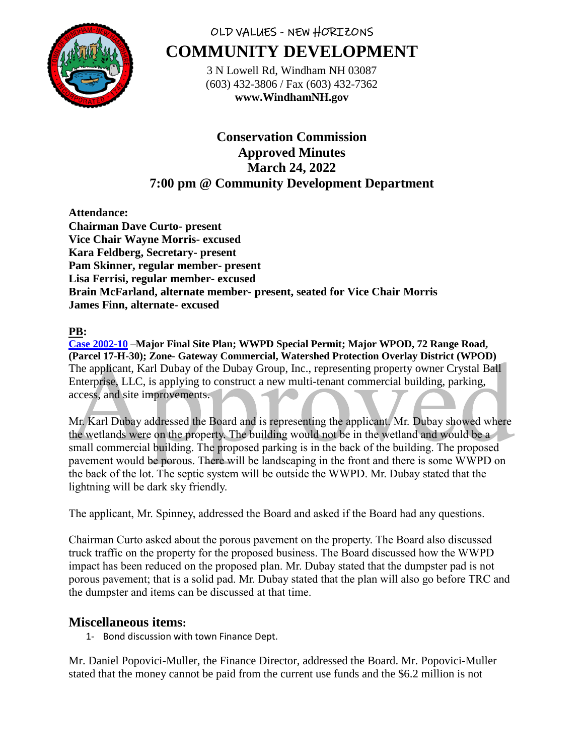

# OLD VALUES - NEW HORIZONS **COMMUNITY DEVELOPMENT**

3 N Lowell Rd, Windham NH 03087 (603) 432-3806 / Fax (603) 432-7362 **www.WindhamNH.gov**

## **Conservation Commission Approved Minutes March 24, 2022 7:00 pm @ Community Development Department**

**Attendance: Chairman Dave Curto- present Vice Chair Wayne Morris- excused Kara Feldberg, Secretary- present Pam Skinner, regular member- present Lisa Ferrisi, regular member- excused Brain McFarland, alternate member- present, seated for Vice Chair Morris James Finn, alternate- excused**

**PB:** 

**[Case 2002-10](https://www.windhamnh.gov/DocumentCenter/Index/934)** –**Major Final Site Plan; WWPD Special Permit; Major WPOD, 72 Range Road, (Parcel 17-H-30); Zone- Gateway Commercial, Watershed Protection Overlay District (WPOD)** The applicant, Karl Dubay of the Dubay Group, Inc., representing property owner Crystal Ball Enterprise, LLC, is applying to construct a new multi-tenant commercial building, parking, access, and site improvements.

Mr. Karl Dubay addressed the Board and is representing the applicant. Mr. Dubay showed where the wetlands were on the property. The building would not be in the wetland and would be a small commercial building. The proposed parking is in the back of the building. The proposed pavement would be porous. There will be landscaping in the front and there is some WWPD on the back of the lot. The septic system will be outside the WWPD. Mr. Dubay stated that the lightning will be dark sky friendly.

The applicant, Mr. Spinney, addressed the Board and asked if the Board had any questions.

Chairman Curto asked about the porous pavement on the property. The Board also discussed truck traffic on the property for the proposed business. The Board discussed how the WWPD impact has been reduced on the proposed plan. Mr. Dubay stated that the dumpster pad is not porous pavement; that is a solid pad. Mr. Dubay stated that the plan will also go before TRC and the dumpster and items can be discussed at that time.

## **Miscellaneous items:**

1- Bond discussion with town Finance Dept.

Mr. Daniel Popovici-Muller, the Finance Director, addressed the Board. Mr. Popovici-Muller stated that the money cannot be paid from the current use funds and the \$6.2 million is not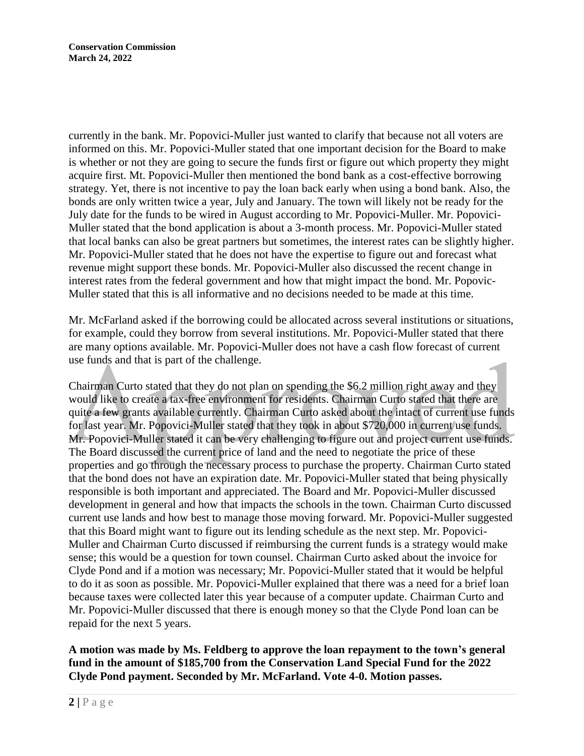**Conservation Commission March 24, 2022**

currently in the bank. Mr. Popovici-Muller just wanted to clarify that because not all voters are informed on this. Mr. Popovici-Muller stated that one important decision for the Board to make is whether or not they are going to secure the funds first or figure out which property they might acquire first. Mt. Popovici-Muller then mentioned the bond bank as a cost-effective borrowing strategy. Yet, there is not incentive to pay the loan back early when using a bond bank. Also, the bonds are only written twice a year, July and January. The town will likely not be ready for the July date for the funds to be wired in August according to Mr. Popovici-Muller. Mr. Popovici-Muller stated that the bond application is about a 3-month process. Mr. Popovici-Muller stated that local banks can also be great partners but sometimes, the interest rates can be slightly higher. Mr. Popovici-Muller stated that he does not have the expertise to figure out and forecast what revenue might support these bonds. Mr. Popovici-Muller also discussed the recent change in interest rates from the federal government and how that might impact the bond. Mr. Popovic-Muller stated that this is all informative and no decisions needed to be made at this time.

Mr. McFarland asked if the borrowing could be allocated across several institutions or situations, for example, could they borrow from several institutions. Mr. Popovici-Muller stated that there are many options available. Mr. Popovici-Muller does not have a cash flow forecast of current use funds and that is part of the challenge.

Chairman Curto stated that they do not plan on spending the \$6.2 million right away and they would like to create a tax-free environment for residents. Chairman Curto stated that there are quite a few grants available currently. Chairman Curto asked about the intact of current use funds for last year. Mr. Popovici-Muller stated that they took in about \$720,000 in current use funds. Mr. Popovici-Muller stated it can be very challenging to figure out and project current use funds. The Board discussed the current price of land and the need to negotiate the price of these properties and go through the necessary process to purchase the property. Chairman Curto stated that the bond does not have an expiration date. Mr. Popovici-Muller stated that being physically responsible is both important and appreciated. The Board and Mr. Popovici-Muller discussed development in general and how that impacts the schools in the town. Chairman Curto discussed current use lands and how best to manage those moving forward. Mr. Popovici-Muller suggested that this Board might want to figure out its lending schedule as the next step. Mr. Popovici-Muller and Chairman Curto discussed if reimbursing the current funds is a strategy would make sense; this would be a question for town counsel. Chairman Curto asked about the invoice for Clyde Pond and if a motion was necessary; Mr. Popovici-Muller stated that it would be helpful to do it as soon as possible. Mr. Popovici-Muller explained that there was a need for a brief loan because taxes were collected later this year because of a computer update. Chairman Curto and Mr. Popovici-Muller discussed that there is enough money so that the Clyde Pond loan can be repaid for the next 5 years.

## **A motion was made by Ms. Feldberg to approve the loan repayment to the town's general fund in the amount of \$185,700 from the Conservation Land Special Fund for the 2022 Clyde Pond payment. Seconded by Mr. McFarland. Vote 4-0. Motion passes.**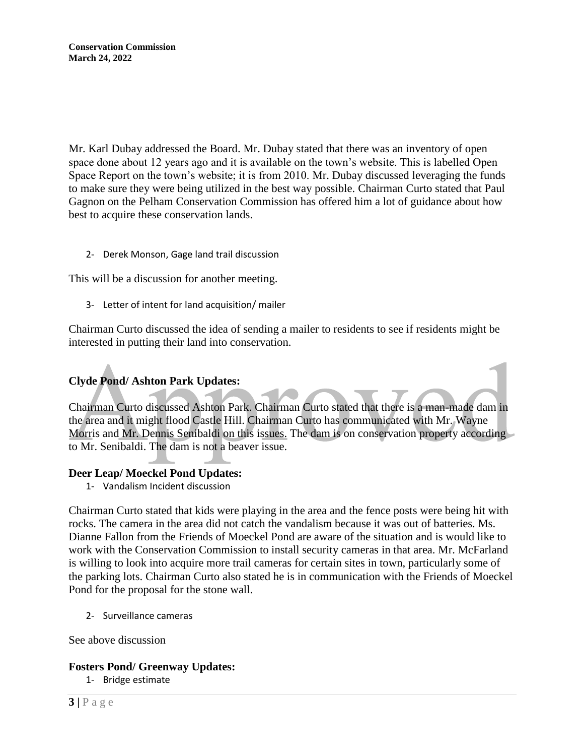Mr. Karl Dubay addressed the Board. Mr. Dubay stated that there was an inventory of open space done about 12 years ago and it is available on the town's website. This is labelled Open Space Report on the town's website; it is from 2010. Mr. Dubay discussed leveraging the funds to make sure they were being utilized in the best way possible. Chairman Curto stated that Paul Gagnon on the Pelham Conservation Commission has offered him a lot of guidance about how best to acquire these conservation lands.

2- Derek Monson, Gage land trail discussion

This will be a discussion for another meeting.

3- Letter of intent for land acquisition/ mailer

Chairman Curto discussed the idea of sending a mailer to residents to see if residents might be interested in putting their land into conservation.

## **Clyde Pond/ Ashton Park Updates:**

Chairman Curto discussed Ashton Park. Chairman Curto stated that there is a man-made dam in the area and it might flood Castle Hill. Chairman Curto has communicated with Mr. Wayne Morris and Mr. Dennis Senibaldi on this issues. The dam is on conservation property according to Mr. Senibaldi. The dam is not a beaver issue.

#### **Deer Leap/ Moeckel Pond Updates:**

1- Vandalism Incident discussion

Chairman Curto stated that kids were playing in the area and the fence posts were being hit with rocks. The camera in the area did not catch the vandalism because it was out of batteries. Ms. Dianne Fallon from the Friends of Moeckel Pond are aware of the situation and is would like to work with the Conservation Commission to install security cameras in that area. Mr. McFarland is willing to look into acquire more trail cameras for certain sites in town, particularly some of the parking lots. Chairman Curto also stated he is in communication with the Friends of Moeckel Pond for the proposal for the stone wall.

2- Surveillance cameras

See above discussion

## **Fosters Pond/ Greenway Updates:**

1- Bridge estimate